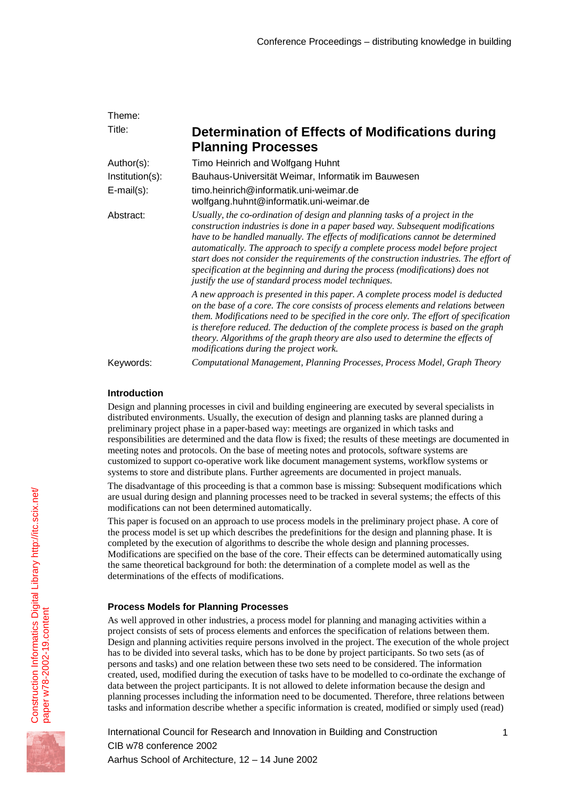| Theme:            |                                                                                                                                                                                                                                                                                                                                                                                                                                                                                                                                                                        |
|-------------------|------------------------------------------------------------------------------------------------------------------------------------------------------------------------------------------------------------------------------------------------------------------------------------------------------------------------------------------------------------------------------------------------------------------------------------------------------------------------------------------------------------------------------------------------------------------------|
| Title:            | Determination of Effects of Modifications during<br><b>Planning Processes</b>                                                                                                                                                                                                                                                                                                                                                                                                                                                                                          |
| Author(s):        | Timo Heinrich and Wolfgang Huhnt                                                                                                                                                                                                                                                                                                                                                                                                                                                                                                                                       |
| Institution(s):   | Bauhaus-Universität Weimar, Informatik im Bauwesen                                                                                                                                                                                                                                                                                                                                                                                                                                                                                                                     |
| $E$ -mail $(s)$ : | timo.heinrich@informatik.uni-weimar.de<br>wolfgang.huhnt@informatik.uni-weimar.de                                                                                                                                                                                                                                                                                                                                                                                                                                                                                      |
| Abstract:         | Usually, the co-ordination of design and planning tasks of a project in the<br>construction industries is done in a paper based way. Subsequent modifications<br>have to be handled manually. The effects of modifications cannot be determined<br>automatically. The approach to specify a complete process model before project<br>start does not consider the requirements of the construction industries. The effort of<br>specification at the beginning and during the process (modifications) does not<br>justify the use of standard process model techniques. |
|                   | A new approach is presented in this paper. A complete process model is deducted<br>on the base of a core. The core consists of process elements and relations between<br>them. Modifications need to be specified in the core only. The effort of specification<br>is therefore reduced. The deduction of the complete process is based on the graph<br>theory. Algorithms of the graph theory are also used to determine the effects of<br>modifications during the project work.                                                                                     |
| Keywords:         | Computational Management, Planning Processes, Process Model, Graph Theory                                                                                                                                                                                                                                                                                                                                                                                                                                                                                              |

## **Introduction**

Design and planning processes in civil and building engineering are executed by several specialists in distributed environments. Usually, the execution of design and planning tasks are planned during a preliminary project phase in a paper-based way: meetings are organized in which tasks and responsibilities are determined and the data flow is fixed; the results of these meetings are documented in meeting notes and protocols. On the base of meeting notes and protocols, software systems are customized to support co-operative work like document management systems, workflow systems or systems to store and distribute plans. Further agreements are documented in project manuals.

The disadvantage of this proceeding is that a common base is missing: Subsequent modifications which are usual during design and planning processes need to be tracked in several systems; the effects of this modifications can not been determined automatically.

This paper is focused on an approach to use process models in the preliminary project phase. A core of the process model is set up which describes the predefinitions for the design and planning phase. It is completed by the execution of algorithms to describe the whole design and planning processes. Modifications are specified on the base of the core. Their effects can be determined automatically using the same theoretical background for both: the determination of a complete model as well as the determinations of the effects of modifications.

# **Process Models for Planning Processes**

As well approved in other industries, a process model for planning and managing activities within a project consists of sets of process elements and enforces the specification of relations between them. Design and planning activities require persons involved in the project. The execution of the whole project has to be divided into several tasks, which has to be done by project participants. So two sets (as of persons and tasks) and one relation between these two sets need to be considered. The information created, used, modified during the execution of tasks have to be modelled to co-ordinate the exchange of data between the project participants. It is not allowed to delete information because the design and planning processes including the information need to be documented. Therefore, three relations between tasks and information describe whether a specific information is created, modified or simply used (read)

International Council for Research and Innovation in Building and Construction CIB w78 conference 2002 Aarhus School of Architecture, 12 – 14 June 2002

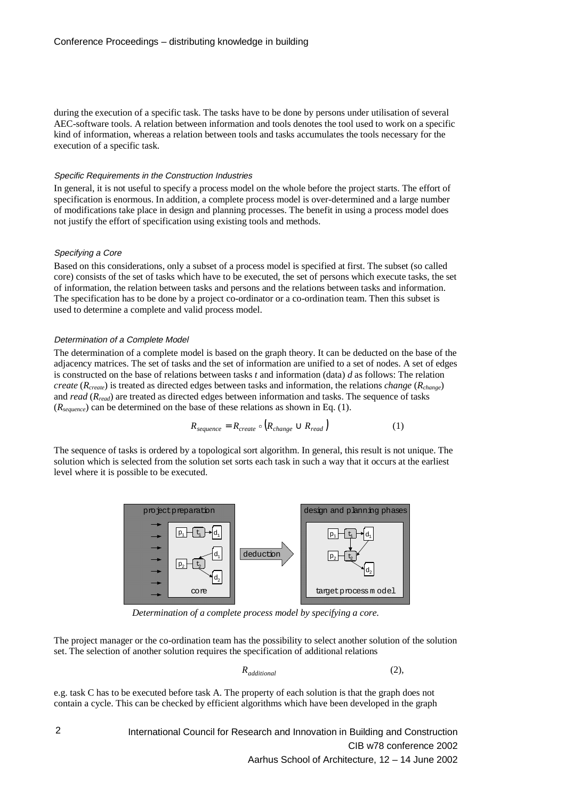during the execution of a specific task. The tasks have to be done by persons under utilisation of several AEC-software tools. A relation between information and tools denotes the tool used to work on a specific kind of information, whereas a relation between tools and tasks accumulates the tools necessary for the execution of a specific task.

#### Specific Requirements in the Construction Industries

In general, it is not useful to specify a process model on the whole before the project starts. The effort of specification is enormous. In addition, a complete process model is over-determined and a large number of modifications take place in design and planning processes. The benefit in using a process model does not justify the effort of specification using existing tools and methods.

#### Specifying a Core

Based on this considerations, only a subset of a process model is specified at first. The subset (so called core) consists of the set of tasks which have to be executed, the set of persons which execute tasks, the set of information, the relation between tasks and persons and the relations between tasks and information. The specification has to be done by a project co-ordinator or a co-ordination team. Then this subset is used to determine a complete and valid process model.

#### Determination of a Complete Model

The determination of a complete model is based on the graph theory. It can be deducted on the base of the adjacency matrices. The set of tasks and the set of information are unified to a set of nodes. A set of edges is constructed on the base of relations between tasks *t* and information (data) *d* as follows: The relation *create* (*Rcreate*) is treated as directed edges between tasks and information, the relations *change* (*Rchange*) and *read* (*Rread*) are treated as directed edges between information and tasks. The sequence of tasks (*Rsequence*) can be determined on the base of these relations as shown in Eq. (1).

$$
R_{sequence} = R_{create} \circ (R_{change} \cup R_{read})
$$
 (1)

The sequence of tasks is ordered by a topological sort algorithm. In general, this result is not unique. The solution which is selected from the solution set sorts each task in such a way that it occurs at the earliest level where it is possible to be executed.



*Determination of a complete process model by specifying a core.*

The project manager or the co-ordination team has the possibility to select another solution of the solution set. The selection of another solution requires the specification of additional relations

$$
R_{additional} \tag{2}
$$

e.g. task C has to be executed before task A. The property of each solution is that the graph does not contain a cycle. This can be checked by efficient algorithms which have been developed in the graph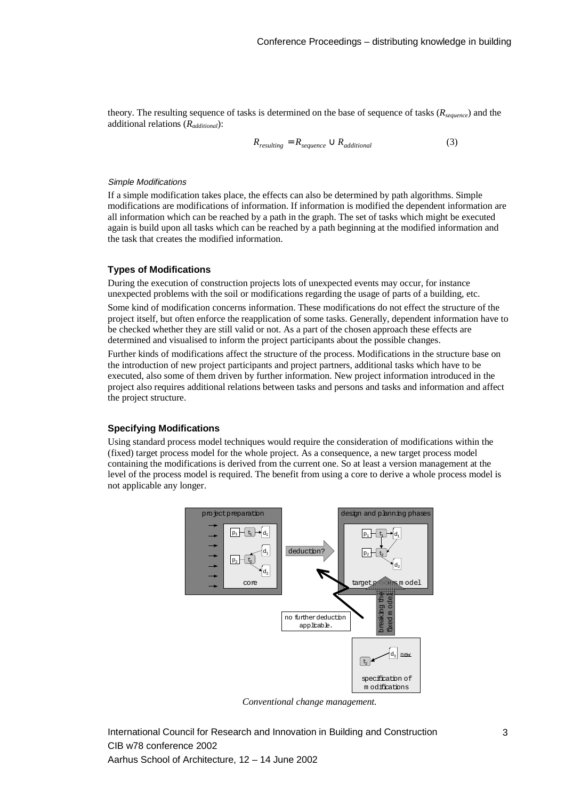theory. The resulting sequence of tasks is determined on the base of sequence of tasks (*Rsequence*) and the additional relations (*Radditional*):

$$
R_{resulting} = R_{sequence} \cup R_{additional} \tag{3}
$$

#### Simple Modifications

If a simple modification takes place, the effects can also be determined by path algorithms. Simple modifications are modifications of information. If information is modified the dependent information are all information which can be reached by a path in the graph. The set of tasks which might be executed again is build upon all tasks which can be reached by a path beginning at the modified information and the task that creates the modified information.

## **Types of Modifications**

During the execution of construction projects lots of unexpected events may occur, for instance unexpected problems with the soil or modifications regarding the usage of parts of a building, etc.

Some kind of modification concerns information. These modifications do not effect the structure of the project itself, but often enforce the reapplication of some tasks. Generally, dependent information have to be checked whether they are still valid or not. As a part of the chosen approach these effects are determined and visualised to inform the project participants about the possible changes.

Further kinds of modifications affect the structure of the process. Modifications in the structure base on the introduction of new project participants and project partners, additional tasks which have to be executed, also some of them driven by further information. New project information introduced in the project also requires additional relations between tasks and persons and tasks and information and affect the project structure.

#### **Specifying Modifications**

Using standard process model techniques would require the consideration of modifications within the (fixed) target process model for the whole project. As a consequence, a new target process model containing the modifications is derived from the current one. So at least a version management at the level of the process model is required. The benefit from using a core to derive a whole process model is not applicable any longer.



*Conventional change management.*

International Council for Research and Innovation in Building and Construction CIB w78 conference 2002 Aarhus School of Architecture, 12 – 14 June 2002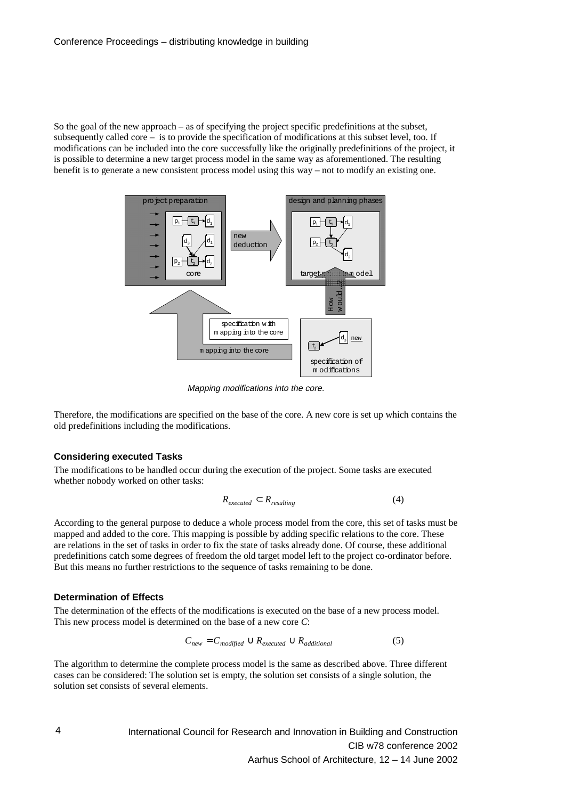So the goal of the new approach – as of specifying the project specific predefinitions at the subset, subsequently called core – is to provide the specification of modifications at this subset level, too. If modifications can be included into the core successfully like the originally predefinitions of the project, it is possible to determine a new target process model in the same way as aforementioned. The resulting benefit is to generate a new consistent process model using this way – not to modify an existing one.



Mapping modifications into the core.

Therefore, the modifications are specified on the base of the core. A new core is set up which contains the old predefinitions including the modifications.

## **Considering executed Tasks**

The modifications to be handled occur during the execution of the project. Some tasks are executed whether nobody worked on other tasks:

$$
R_{executed} \subset R_{resulting} \tag{4}
$$

According to the general purpose to deduce a whole process model from the core, this set of tasks must be mapped and added to the core. This mapping is possible by adding specific relations to the core. These are relations in the set of tasks in order to fix the state of tasks already done. Of course, these additional predefinitions catch some degrees of freedom the old target model left to the project co-ordinator before. But this means no further restrictions to the sequence of tasks remaining to be done.

## **Determination of Effects**

The determination of the effects of the modifications is executed on the base of a new process model. This new process model is determined on the base of a new core *C*:

$$
C_{new} = C_{modified} \cup R_{executed} \cup R_{additional}
$$
 (5)

The algorithm to determine the complete process model is the same as described above. Three different cases can be considered: The solution set is empty, the solution set consists of a single solution, the solution set consists of several elements.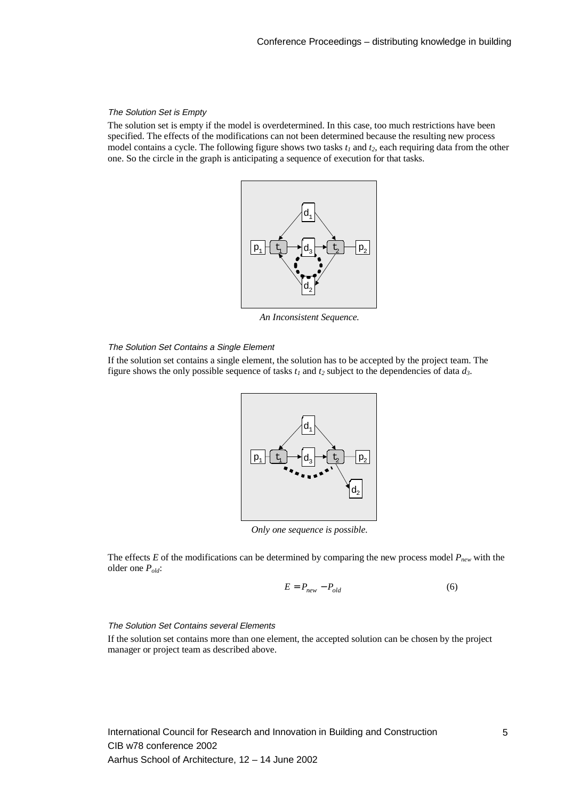### The Solution Set is Empty

The solution set is empty if the model is overdetermined. In this case, too much restrictions have been specified. The effects of the modifications can not been determined because the resulting new process model contains a cycle. The following figure shows two tasks  $t_1$  and  $t_2$ , each requiring data from the other one. So the circle in the graph is anticipating a sequence of execution for that tasks.



*An Inconsistent Sequence.*

#### The Solution Set Contains a Single Element

If the solution set contains a single element, the solution has to be accepted by the project team. The figure shows the only possible sequence of tasks  $t_1$  and  $t_2$  subject to the dependencies of data  $d_3$ .



*Only one sequence is possible.*

The effects *E* of the modifications can be determined by comparing the new process model  $P_{new}$  with the older one *Pold*:

$$
E = P_{new} - P_{old} \tag{6}
$$

#### The Solution Set Contains several Elements

If the solution set contains more than one element, the accepted solution can be chosen by the project manager or project team as described above.